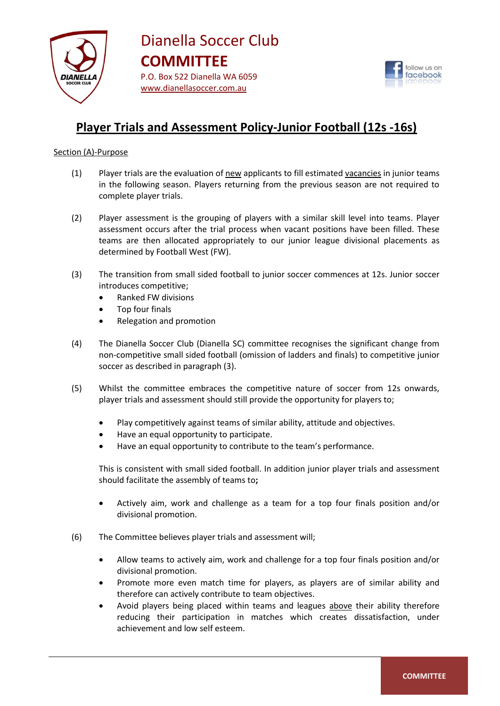



## **Player Trials and Assessment Policy-Junior Football (12s -16s)**

### Section (A)-Purpose

- (1) Player trials are the evaluation of new applicants to fill estimated vacancies in junior teams in the following season. Players returning from the previous season are not required to complete player trials.
- (2) Player assessment is the grouping of players with a similar skill level into teams. Player assessment occurs after the trial process when vacant positions have been filled. These teams are then allocated appropriately to our junior league divisional placements as determined by Football West (FW).
- (3) The transition from small sided football to junior soccer commences at 12s. Junior soccer introduces competitive;
	- Ranked FW divisions
	- Top four finals
	- Relegation and promotion
- (4) The Dianella Soccer Club (Dianella SC) committee recognises the significant change from non-competitive small sided football (omission of ladders and finals) to competitive junior soccer as described in paragraph (3).
- (5) Whilst the committee embraces the competitive nature of soccer from 12s onwards, player trials and assessment should still provide the opportunity for players to;
	- Play competitively against teams of similar ability, attitude and objectives.
	- Have an equal opportunity to participate.
	- Have an equal opportunity to contribute to the team's performance.

This is consistent with small sided football. In addition junior player trials and assessment should facilitate the assembly of teams to**;**

- Actively aim, work and challenge as a team for a top four finals position and/or divisional promotion.
- (6) The Committee believes player trials and assessment will;
	- Allow teams to actively aim, work and challenge for a top four finals position and/or divisional promotion.
	- Promote more even match time for players, as players are of similar ability and therefore can actively contribute to team objectives.
	- Avoid players being placed within teams and leagues above their ability therefore reducing their participation in matches which creates dissatisfaction, under achievement and low self esteem.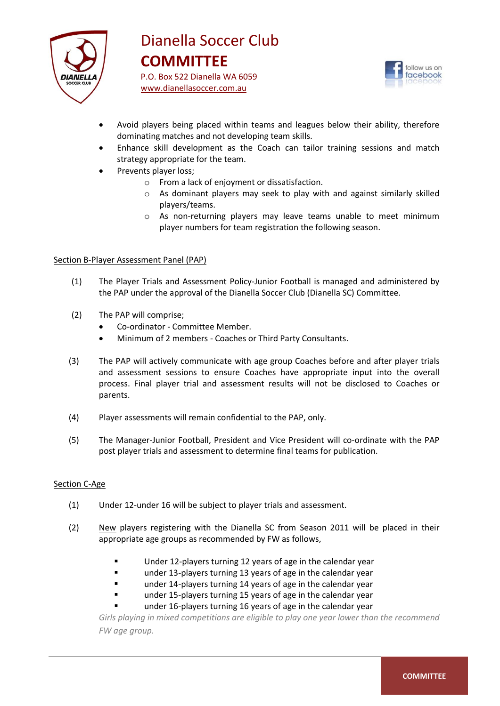

 www.dianellasoccer.com.au



- Avoid players being placed within teams and leagues below their ability, therefore dominating matches and not developing team skills.
- Enhance skill development as the Coach can tailor training sessions and match strategy appropriate for the team.
- Prevents player loss;
	- o From a lack of enjoyment or dissatisfaction.
	- o As dominant players may seek to play with and against similarly skilled players/teams.
	- o As non-returning players may leave teams unable to meet minimum player numbers for team registration the following season.

#### Section B-Player Assessment Panel (PAP)

- (1) The Player Trials and Assessment Policy-Junior Football is managed and administered by the PAP under the approval of the Dianella Soccer Club (Dianella SC) Committee.
- (2) The PAP will comprise;
	- Co-ordinator Committee Member.
	- Minimum of 2 members Coaches or Third Party Consultants.
- (3) The PAP will actively communicate with age group Coaches before and after player trials and assessment sessions to ensure Coaches have appropriate input into the overall process. Final player trial and assessment results will not be disclosed to Coaches or parents.
- (4) Player assessments will remain confidential to the PAP, only.
- (5) The Manager-Junior Football, President and Vice President will co-ordinate with the PAP post player trials and assessment to determine final teams for publication.

#### Section C-Age

- (1) Under 12-under 16 will be subject to player trials and assessment.
- (2) New players registering with the Dianella SC from Season 2011 will be placed in their appropriate age groups as recommended by FW as follows,
	- Under 12-players turning 12 years of age in the calendar year
	- **under 13-players turning 13 years of age in the calendar year**
	- under 14-players turning 14 years of age in the calendar year
	- under 15-players turning 15 years of age in the calendar year
	- under 16-players turning 16 years of age in the calendar year

*Girls playing in mixed competitions are eligible to play one year lower than the recommend FW age group.*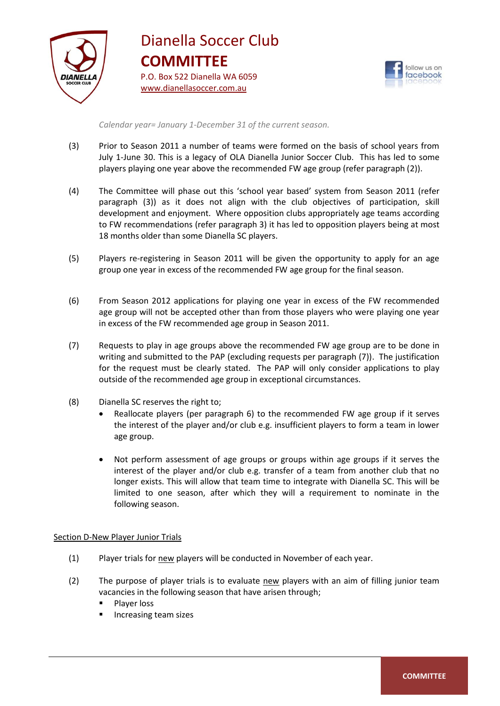

## www.dianellasoccer.com.au Dianella Soccer Club **COMMITTEE** P.O. Box 522 Dianella WA 6059



*Calendar year= January 1-December 31 of the current season.*

- (3) Prior to Season 2011 a number of teams were formed on the basis of school years from July 1-June 30. This is a legacy of OLA Dianella Junior Soccer Club. This has led to some players playing one year above the recommended FW age group (refer paragraph (2)).
- (4) The Committee will phase out this 'school year based' system from Season 2011 (refer paragraph (3)) as it does not align with the club objectives of participation, skill development and enjoyment. Where opposition clubs appropriately age teams according to FW recommendations (refer paragraph 3) it has led to opposition players being at most 18 months older than some Dianella SC players.
- (5) Players re-registering in Season 2011 will be given the opportunity to apply for an age group one year in excess of the recommended FW age group for the final season.
- (6) From Season 2012 applications for playing one year in excess of the FW recommended age group will not be accepted other than from those players who were playing one year in excess of the FW recommended age group in Season 2011.
- (7) Requests to play in age groups above the recommended FW age group are to be done in writing and submitted to the PAP (excluding requests per paragraph (7)). The justification for the request must be clearly stated. The PAP will only consider applications to play outside of the recommended age group in exceptional circumstances.
- (8) Dianella SC reserves the right to;
	- Reallocate players (per paragraph 6) to the recommended FW age group if it serves the interest of the player and/or club e.g. insufficient players to form a team in lower age group.
	- Not perform assessment of age groups or groups within age groups if it serves the interest of the player and/or club e.g. transfer of a team from another club that no longer exists. This will allow that team time to integrate with Dianella SC. This will be limited to one season, after which they will a requirement to nominate in the following season.

#### Section D-New Player Junior Trials

- (1) Player trials for new players will be conducted in November of each year.
- (2) The purpose of player trials is to evaluate new players with an aim of filling junior team vacancies in the following season that have arisen through;
	- **Player loss**
	- Increasing team sizes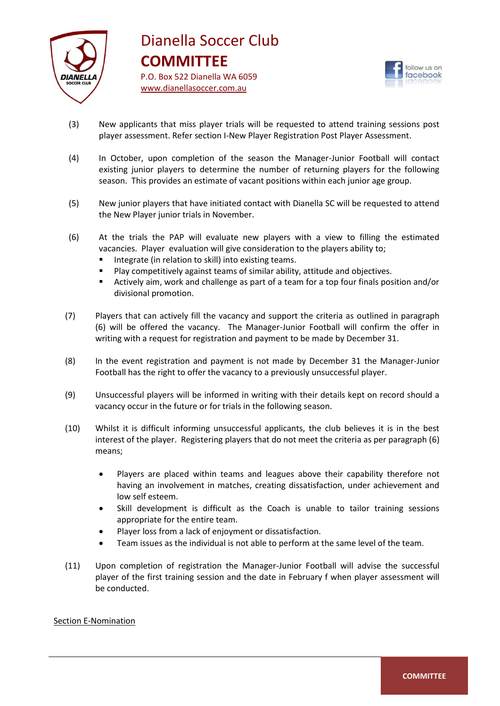



- (3) New applicants that miss player trials will be requested to attend training sessions post player assessment. Refer section I-New Player Registration Post Player Assessment.
- (4) In October, upon completion of the season the Manager-Junior Football will contact existing junior players to determine the number of returning players for the following season. This provides an estimate of vacant positions within each junior age group.
- (5) New junior players that have initiated contact with Dianella SC will be requested to attend the New Player junior trials in November.
- (6) At the trials the PAP will evaluate new players with a view to filling the estimated vacancies. Player evaluation will give consideration to the players ability to;
	- **IF** Integrate (in relation to skill) into existing teams.
	- Play competitively against teams of similar ability, attitude and objectives.
	- Actively aim, work and challenge as part of a team for a top four finals position and/or divisional promotion.
- (7) Players that can actively fill the vacancy and support the criteria as outlined in paragraph (6) will be offered the vacancy. The Manager-Junior Football will confirm the offer in writing with a request for registration and payment to be made by December 31.
- (8) In the event registration and payment is not made by December 31 the Manager-Junior Football has the right to offer the vacancy to a previously unsuccessful player.
- (9) Unsuccessful players will be informed in writing with their details kept on record should a vacancy occur in the future or for trials in the following season.
- (10) Whilst it is difficult informing unsuccessful applicants, the club believes it is in the best interest of the player. Registering players that do not meet the criteria as per paragraph (6) means;
	- Players are placed within teams and leagues above their capability therefore not having an involvement in matches, creating dissatisfaction, under achievement and low self esteem.
	- Skill development is difficult as the Coach is unable to tailor training sessions appropriate for the entire team.
	- Player loss from a lack of enjoyment or dissatisfaction.
	- Team issues as the individual is not able to perform at the same level of the team.
- (11) Upon completion of registration the Manager-Junior Football will advise the successful player of the first training session and the date in February f when player assessment will be conducted.

#### Section E-Nomination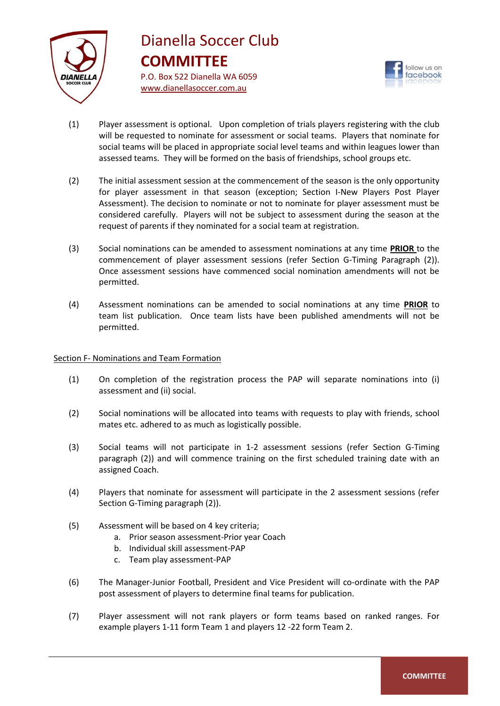

## www.dianellasoccer.com.au Dianella Soccer Club **COMMITTEE** P.O. Box 522 Dianella WA 6059



- (1) Player assessment is optional. Upon completion of trials players registering with the club will be requested to nominate for assessment or social teams. Players that nominate for social teams will be placed in appropriate social level teams and within leagues lower than assessed teams. They will be formed on the basis of friendships, school groups etc.
- (2) The initial assessment session at the commencement of the season is the only opportunity for player assessment in that season (exception; Section I-New Players Post Player Assessment). The decision to nominate or not to nominate for player assessment must be considered carefully. Players will not be subject to assessment during the season at the request of parents if they nominated for a social team at registration.
- (3) Social nominations can be amended to assessment nominations at any time **PRIOR** to the commencement of player assessment sessions (refer Section G-Timing Paragraph (2)). Once assessment sessions have commenced social nomination amendments will not be permitted.
- (4) Assessment nominations can be amended to social nominations at any time **PRIOR** to team list publication. Once team lists have been published amendments will not be permitted.

#### Section F- Nominations and Team Formation

- (1) On completion of the registration process the PAP will separate nominations into (i) assessment and (ii) social.
- (2) Social nominations will be allocated into teams with requests to play with friends, school mates etc. adhered to as much as logistically possible.
- (3) Social teams will not participate in 1-2 assessment sessions (refer Section G-Timing paragraph (2)) and will commence training on the first scheduled training date with an assigned Coach.
- (4) Players that nominate for assessment will participate in the 2 assessment sessions (refer Section G-Timing paragraph (2)).
- (5) Assessment will be based on 4 key criteria;
	- a. Prior season assessment-Prior year Coach
	- b. Individual skill assessment-PAP
	- c. Team play assessment-PAP
- (6) The Manager-Junior Football, President and Vice President will co-ordinate with the PAP post assessment of players to determine final teams for publication.
- (7) Player assessment will not rank players or form teams based on ranked ranges. For example players 1-11 form Team 1 and players 12 -22 form Team 2.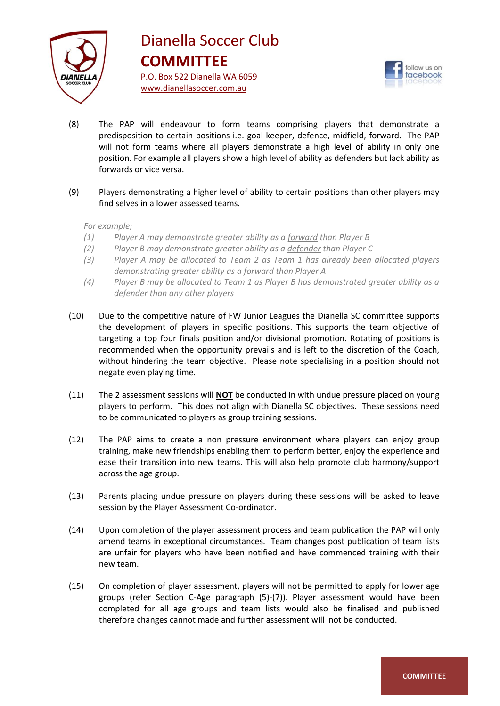

## www.dianellasoccer.com.au Dianella Soccer Club **COMMITTEE** P.O. Box 522 Dianella WA 6059



- (8) The PAP will endeavour to form teams comprising players that demonstrate a predisposition to certain positions-i.e. goal keeper, defence, midfield, forward. The PAP will not form teams where all players demonstrate a high level of ability in only one position. For example all players show a high level of ability as defenders but lack ability as forwards or vice versa.
- (9) Players demonstrating a higher level of ability to certain positions than other players may find selves in a lower assessed teams.

*For example;*

- *(1) Player A may demonstrate greater ability as a forward than Player B*
- *(2) Player B may demonstrate greater ability as a defender than Player C*
- *(3) Player A may be allocated to Team 2 as Team 1 has already been allocated players demonstrating greater ability as a forward than Player A*
- *(4) Player B may be allocated to Team 1 as Player B has demonstrated greater ability as a defender than any other players*
- (10) Due to the competitive nature of FW Junior Leagues the Dianella SC committee supports the development of players in specific positions. This supports the team objective of targeting a top four finals position and/or divisional promotion. Rotating of positions is recommended when the opportunity prevails and is left to the discretion of the Coach, without hindering the team objective. Please note specialising in a position should not negate even playing time.
- (11) The 2 assessment sessions will **NOT** be conducted in with undue pressure placed on young players to perform. This does not align with Dianella SC objectives. These sessions need to be communicated to players as group training sessions.
- (12) The PAP aims to create a non pressure environment where players can enjoy group training, make new friendships enabling them to perform better, enjoy the experience and ease their transition into new teams. This will also help promote club harmony/support across the age group.
- (13) Parents placing undue pressure on players during these sessions will be asked to leave session by the Player Assessment Co-ordinator.
- (14) Upon completion of the player assessment process and team publication the PAP will only amend teams in exceptional circumstances. Team changes post publication of team lists are unfair for players who have been notified and have commenced training with their new team.
- (15) On completion of player assessment, players will not be permitted to apply for lower age groups (refer Section C-Age paragraph (5)-(7)). Player assessment would have been completed for all age groups and team lists would also be finalised and published therefore changes cannot made and further assessment will not be conducted.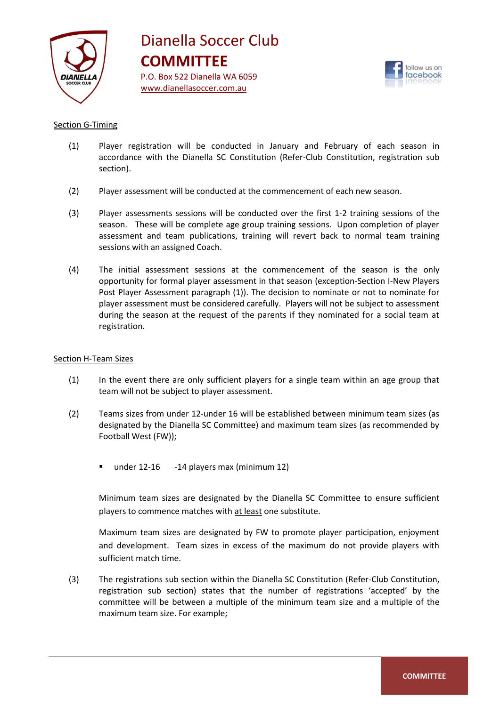



#### Section G-Timing

- (1) Player registration will be conducted in January and February of each season in accordance with the Dianella SC Constitution (Refer-Club Constitution, registration sub section).
- (2) Player assessment will be conducted at the commencement of each new season.
- (3) Player assessments sessions will be conducted over the first 1-2 training sessions of the season. These will be complete age group training sessions. Upon completion of player assessment and team publications, training will revert back to normal team training sessions with an assigned Coach.
- (4) The initial assessment sessions at the commencement of the season is the only opportunity for formal player assessment in that season (exception-Section I-New Players Post Player Assessment paragraph (1)). The decision to nominate or not to nominate for player assessment must be considered carefully. Players will not be subject to assessment during the season at the request of the parents if they nominated for a social team at registration.

#### Section H-Team Sizes

- (1) In the event there are only sufficient players for a single team within an age group that team will not be subject to player assessment.
- (2) Teams sizes from under 12-under 16 will be established between minimum team sizes (as designated by the Dianella SC Committee) and maximum team sizes (as recommended by Football West (FW));
	- under 12-16 -14 players max (minimum 12)

Minimum team sizes are designated by the Dianella SC Committee to ensure sufficient players to commence matches with at least one substitute.

Maximum team sizes are designated by FW to promote player participation, enjoyment and development. Team sizes in excess of the maximum do not provide players with sufficient match time.

(3) The registrations sub section within the Dianella SC Constitution (Refer-Club Constitution, registration sub section) states that the number of registrations 'accepted' by the committee will be between a multiple of the minimum team size and a multiple of the maximum team size. For example;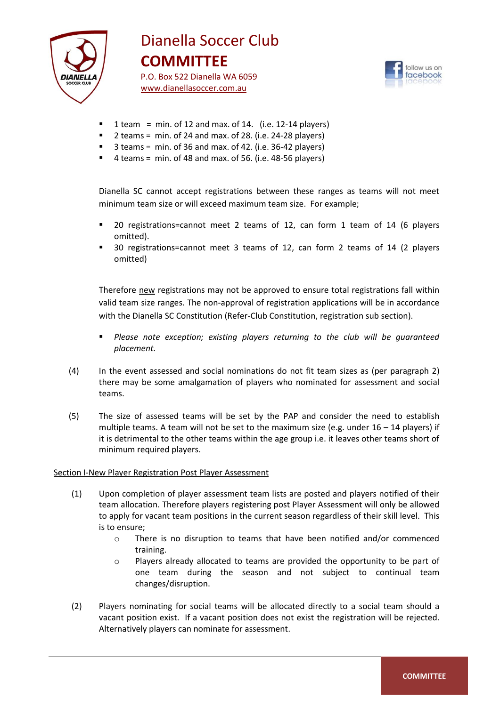

# Dianella Soccer Club **COMMITTEE**

 www.dianellasoccer.com.au P.O. Box 522 Dianella WA 6059



- 1 team = min. of 12 and max. of 14. (i.e.  $12-14$  players)
- 2 teams = min. of 24 and max. of 28. (i.e. 24-28 players)
- $\blacksquare$  3 teams = min. of 36 and max. of 42. (i.e. 36-42 players)
- $\blacksquare$  4 teams = min. of 48 and max. of 56. (i.e. 48-56 players)

Dianella SC cannot accept registrations between these ranges as teams will not meet minimum team size or will exceed maximum team size. For example;

- 20 registrations=cannot meet 2 teams of 12, can form 1 team of 14 (6 players omitted).
- 30 registrations=cannot meet 3 teams of 12, can form 2 teams of 14 (2 players omitted)

Therefore new registrations may not be approved to ensure total registrations fall within valid team size ranges. The non-approval of registration applications will be in accordance with the Dianella SC Constitution (Refer-Club Constitution, registration sub section).

- *Please note exception; existing players returning to the club will be guaranteed placement.*
- (4) In the event assessed and social nominations do not fit team sizes as (per paragraph 2) there may be some amalgamation of players who nominated for assessment and social teams.
- (5) The size of assessed teams will be set by the PAP and consider the need to establish multiple teams. A team will not be set to the maximum size (e.g. under  $16 - 14$  players) if it is detrimental to the other teams within the age group i.e. it leaves other teams short of minimum required players.

#### Section I-New Player Registration Post Player Assessment

- (1) Upon completion of player assessment team lists are posted and players notified of their team allocation. Therefore players registering post Player Assessment will only be allowed to apply for vacant team positions in the current season regardless of their skill level. This is to ensure;
	- o There is no disruption to teams that have been notified and/or commenced training.
	- o Players already allocated to teams are provided the opportunity to be part of one team during the season and not subject to continual team changes/disruption.
- (2) Players nominating for social teams will be allocated directly to a social team should a vacant position exist. If a vacant position does not exist the registration will be rejected. Alternatively players can nominate for assessment.